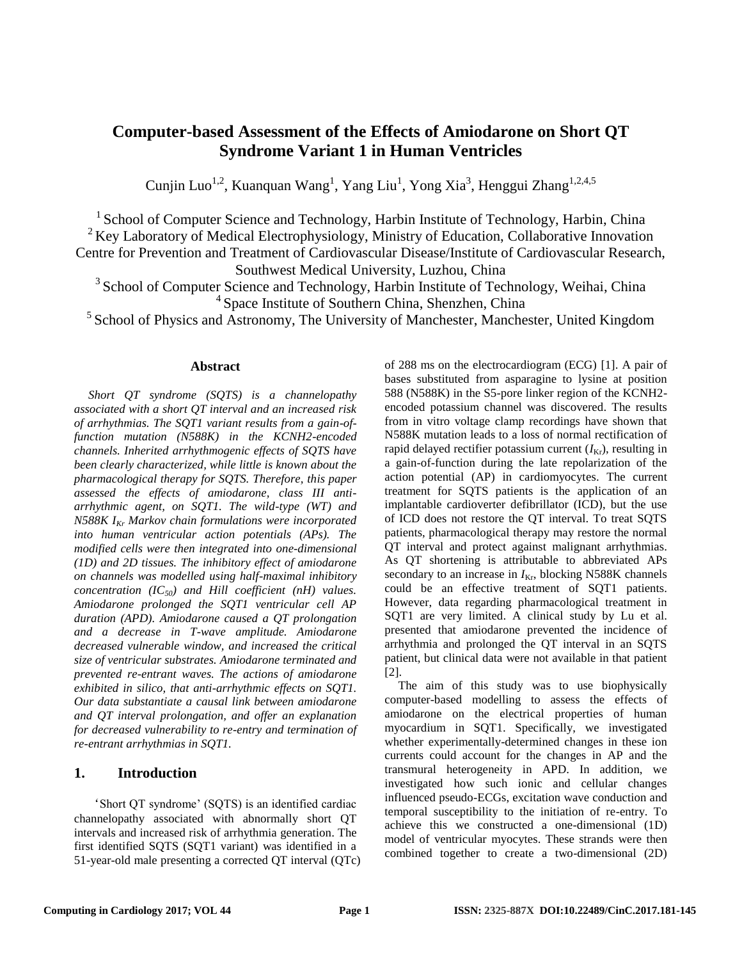# **Computer-based Assessment of the Effects of Amiodarone on Short QT Syndrome Variant 1 in Human Ventricles**

Cunjin Luo<sup>1,2</sup>, Kuanquan Wang<sup>1</sup>, Yang Liu<sup>1</sup>, Yong Xia<sup>3</sup>, Henggui Zhang<sup>1,2,4,5</sup>

<sup>1</sup> School of Computer Science and Technology, Harbin Institute of Technology, Harbin, China  $2$  Key Laboratory of Medical Electrophysiology, Ministry of Education, Collaborative Innovation Centre for Prevention and Treatment of Cardiovascular Disease/Institute of Cardiovascular Research, Southwest Medical University, Luzhou, China

<sup>3</sup> School of Computer Science and Technology, Harbin Institute of Technology, Weihai, China <sup>4</sup> Space Institute of Southern China, Shenzhen, China

 $<sup>5</sup>$  School of Physics and Astronomy, The University of Manchester, Manchester, United Kingdom</sup>

#### **Abstract**

*Short QT syndrome (SQTS) is a channelopathy associated with a short QT interval and an increased risk of arrhythmias. The SQT1 variant results from a gain-offunction mutation (N588K) in the KCNH2-encoded channels. Inherited arrhythmogenic effects of SQTS have been clearly characterized, while little is known about the pharmacological therapy for SQTS. Therefore, this paper assessed the effects of amiodarone, class III antiarrhythmic agent, on SQT1. The wild-type (WT) and N588K IKr Markov chain formulations were incorporated into human ventricular action potentials (APs). The modified cells were then integrated into one-dimensional (1D) and 2D tissues. The inhibitory effect of amiodarone on channels was modelled using half-maximal inhibitory concentration (IC50) and Hill coefficient (nH) values. Amiodarone prolonged the SQT1 ventricular cell AP duration (APD). Amiodarone caused a QT prolongation and a decrease in T-wave amplitude. Amiodarone decreased vulnerable window, and increased the critical size of ventricular substrates. Amiodarone terminated and prevented re-entrant waves. The actions of amiodarone exhibited in silico, that anti-arrhythmic effects on SQT1. Our data substantiate a causal link between amiodarone and QT interval prolongation, and offer an explanation for decreased vulnerability to re-entry and termination of re-entrant arrhythmias in SQT1.*

## **1. Introduction**

'Short QT syndrome' (SQTS) is an identified cardiac channelopathy associated with abnormally short QT intervals and increased risk of arrhythmia generation. The first identified SQTS (SQT1 variant) was identified in a 51-year-old male presenting a corrected QT interval (QTc)

of 288 ms on the electrocardiogram (ECG) [\[1\]](#page-3-0). A pair of bases substituted from asparagine to lysine at position 588 (N588K) in the S5-pore linker region of the KCNH2 encoded potassium channel was discovered. The results from in vitro voltage clamp recordings have shown that N588K mutation leads to a loss of normal rectification of rapid delayed rectifier potassium current  $(I_{\text{Kr}})$ , resulting in a gain-of-function during the late repolarization of the action potential (AP) in cardiomyocytes. The current treatment for SQTS patients is the application of an implantable cardioverter defibrillator (ICD), but the use of ICD does not restore the QT interval. To treat SQTS patients, pharmacological therapy may restore the normal QT interval and protect against malignant arrhythmias. As QT shortening is attributable to abbreviated APs secondary to an increase in  $I_{\text{Kr}}$ , blocking N588K channels could be an effective treatment of SQT1 patients. However, data regarding pharmacological treatment in SQT1 are very limited. A clinical study by Lu et al. presented that amiodarone prevented the incidence of arrhythmia and prolonged the QT interval in an SQTS patient, but clinical data were not available in that patient [\[2\]](#page-3-1).

The aim of this study was to use biophysically computer-based modelling to assess the effects of amiodarone on the electrical properties of human myocardium in SQT1. Specifically, we investigated whether experimentally-determined changes in these ion currents could account for the changes in AP and the transmural heterogeneity in APD. In addition, we investigated how such ionic and cellular changes influenced pseudo-ECGs, excitation wave conduction and temporal susceptibility to the initiation of re-entry. To achieve this we constructed a one-dimensional (1D) model of ventricular myocytes. These strands were then combined together to create a two-dimensional (2D)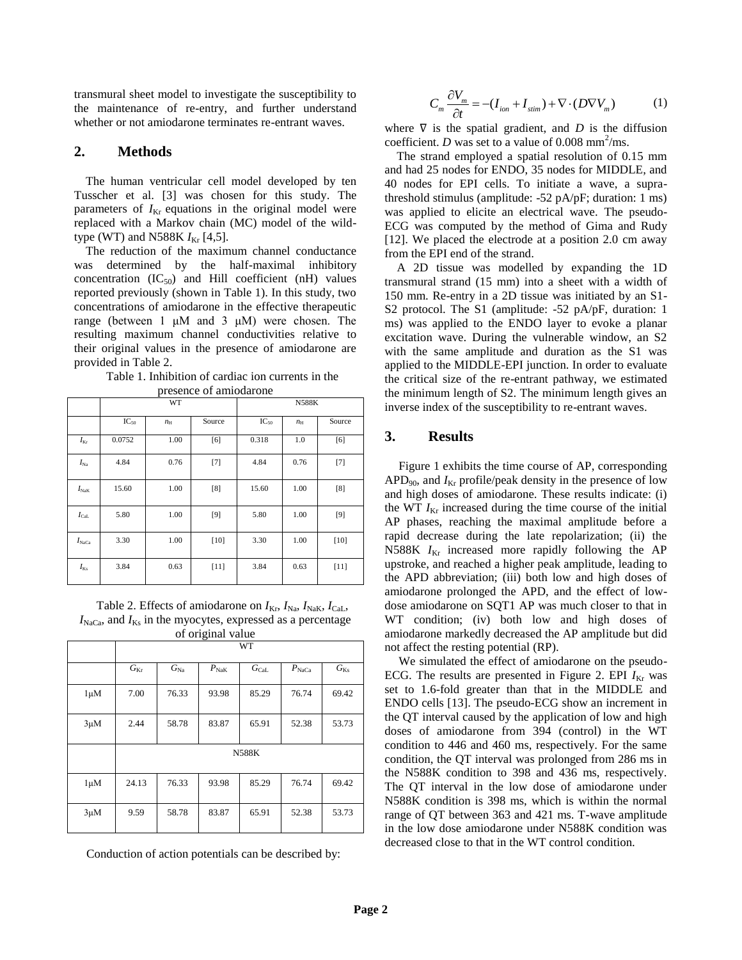transmural sheet model to investigate the susceptibility to the maintenance of re-entry, and further understand whether or not amiodarone terminates re-entrant waves.

#### **2. Methods**

The human ventricular cell model developed by ten Tusscher et al. [\[3\]](#page-3-2) was chosen for this study. The parameters of  $I_{Kr}$  equations in the original model were replaced with a Markov chain (MC) model of the wildtype (WT) and N588K  $I_{Kr}$  [\[4,](#page-3-3)[5\]](#page-3-4).

The reduction of the maximum channel conductance was determined by the half-maximal inhibitory concentration  $(IC_{50})$  and Hill coefficient  $(nH)$  values reported previously (shown in Table 1). In this study, two concentrations of amiodarone in the effective therapeutic range (between 1 μM and 3 μM) were chosen. The resulting maximum channel conductivities relative to their original values in the presence of amiodarone are provided in Table 2.

Table 1. Inhibition of cardiac ion currents in the presence of amiodarone

|                   |           | WT          |        | <b>N588K</b> |             |        |
|-------------------|-----------|-------------|--------|--------------|-------------|--------|
|                   | $IC_{50}$ | $n_{\rm H}$ | Source | $IC_{50}$    | $n_{\rm H}$ | Source |
| $I_{\text{Kr}}$   | 0.0752    | 1.00        | [6]    | 0.318        | 1.0         | [6]    |
| $I_{\rm Na}$      | 4.84      | 0.76        | $[7]$  | 4.84         | 0.76        | $[7]$  |
| $I_{\rm NaK}$     | 15.60     | 1.00        | [8]    | 15.60        | 1.00        | [8]    |
| $I_{\rm{Cal}}$    | 5.80      | 1.00        | $[9]$  | 5.80         | 1.00        | $[9]$  |
| $I_{\text{NaCa}}$ | 3.30      | 1.00        | [10]   | 3.30         | 1.00        | $[10]$ |
| $I_{\rm Ks}$      | 3.84      | 0.63        | $[11]$ | 3.84         | 0.63        | $[11]$ |

Table 2. Effects of amiodarone on  $I_{\text{Kr}}$ ,  $I_{\text{Na}}$ ,  $I_{\text{NaK}}$ ,  $I_{\text{CaL}}$ ,  $I_{\text{NaCa}}$ , and  $I_{\text{Ks}}$  in the myocytes, expressed as a percentage of original value

|           | WT           |              |               |                |                   |          |  |  |  |
|-----------|--------------|--------------|---------------|----------------|-------------------|----------|--|--|--|
|           | $G_{\rm Kr}$ | $G_{\rm Na}$ | $P_{\rm NaK}$ | $G_{\rm{Cal}}$ | $P_{\text{NaCa}}$ | $G_{Ks}$ |  |  |  |
| $1 \mu M$ | 7.00         | 76.33        | 93.98         | 85.29          | 76.74             | 69.42    |  |  |  |
| $3\mu$ M  | 2.44         | 58.78        | 83.87         | 65.91          | 52.38             | 53.73    |  |  |  |
|           | <b>N588K</b> |              |               |                |                   |          |  |  |  |
| $1 \mu M$ | 24.13        | 76.33        | 93.98         | 85.29          | 76.74             | 69.42    |  |  |  |
| $3\mu$ M  | 9.59         | 58.78        | 83.87         | 65.91          | 52.38             | 53.73    |  |  |  |

Conduction of action potentials can be described by:

$$
C_m \frac{\partial V_m}{\partial t} = -(I_{ion} + I_{stim}) + \nabla \cdot (D \nabla V_m)
$$
 (1)

where  $\nabla$  is the spatial gradient, and *D* is the diffusion coefficient. *D* was set to a value of 0.008 mm<sup>2</sup>/ms.

 The strand employed a spatial resolution of 0.15 mm and had 25 nodes for ENDO, 35 nodes for MIDDLE, and 40 nodes for EPI cells. To initiate a wave, a suprathreshold stimulus (amplitude: -52 pA/pF; duration: 1 ms) was applied to elicite an electrical wave. The pseudo-ECG was computed by the method of Gima and Rudy [\[12\]](#page-3-11). We placed the electrode at a position 2.0 cm away from the EPI end of the strand.

 A 2D tissue was modelled by expanding the 1D transmural strand (15 mm) into a sheet with a width of 150 mm. Re-entry in a 2D tissue was initiated by an S1- S2 protocol. The S1 (amplitude: -52 pA/pF, duration: 1 ms) was applied to the ENDO layer to evoke a planar excitation wave. During the vulnerable window, an S2 with the same amplitude and duration as the S1 was applied to the MIDDLE-EPI junction. In order to evaluate the critical size of the re-entrant pathway, we estimated the minimum length of S2. The minimum length gives an inverse index of the susceptibility to re-entrant waves.

#### **3. Results**

Figure 1 exhibits the time course of AP, corresponding  $APD<sub>90</sub>$ , and  $I<sub>Kr</sub>$  profile/peak density in the presence of low and high doses of amiodarone. These results indicate: (i) the WT  $I_{Kr}$  increased during the time course of the initial AP phases, reaching the maximal amplitude before a rapid decrease during the late repolarization; (ii) the N588K  $I_{Kr}$  increased more rapidly following the AP upstroke, and reached a higher peak amplitude, leading to the APD abbreviation; (iii) both low and high doses of amiodarone prolonged the APD, and the effect of lowdose amiodarone on SQT1 AP was much closer to that in WT condition; (iv) both low and high doses of amiodarone markedly decreased the AP amplitude but did not affect the resting potential (RP).

We simulated the effect of amiodarone on the pseudo-ECG. The results are presented in Figure 2. EPI  $I_{Kr}$  was set to 1.6-fold greater than that in the MIDDLE and ENDO cells [\[13\]](#page-3-12). The pseudo-ECG show an increment in the QT interval caused by the application of low and high doses of amiodarone from 394 (control) in the WT condition to 446 and 460 ms, respectively. For the same condition, the QT interval was prolonged from 286 ms in the N588K condition to 398 and 436 ms, respectively. The QT interval in the low dose of amiodarone under N588K condition is 398 ms, which is within the normal range of QT between 363 and 421 ms. T-wave amplitude in the low dose amiodarone under N588K condition was decreased close to that in the WT control condition.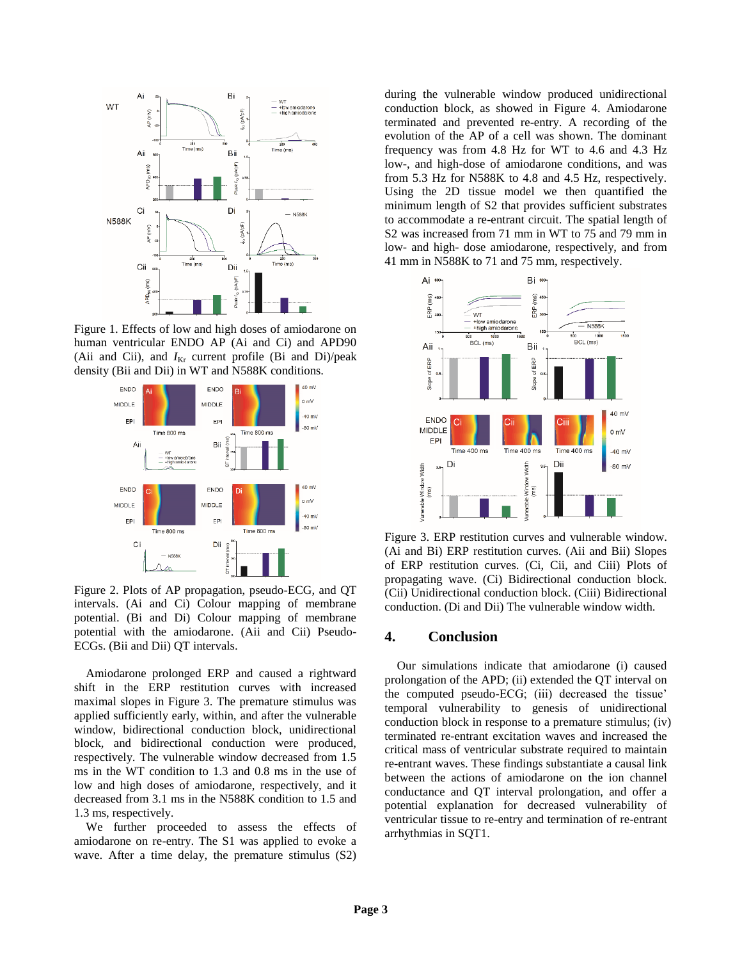

Figure 1. Effects of low and high doses of amiodarone on human ventricular ENDO AP (Ai and Ci) and APD90 (Aii and Cii), and  $I_{Kr}$  current profile (Bi and Di)/peak density (Bii and Dii) in WT and N588K conditions.



Figure 2. Plots of AP propagation, pseudo-ECG, and QT intervals. (Ai and Ci) Colour mapping of membrane potential. (Bi and Di) Colour mapping of membrane potential with the amiodarone. (Aii and Cii) Pseudo-ECGs. (Bii and Dii) QT intervals.

Amiodarone prolonged ERP and caused a rightward shift in the ERP restitution curves with increased maximal slopes in Figure 3. The premature stimulus was applied sufficiently early, within, and after the vulnerable window, bidirectional conduction block, unidirectional block, and bidirectional conduction were produced, respectively. The vulnerable window decreased from 1.5 ms in the WT condition to 1.3 and 0.8 ms in the use of low and high doses of amiodarone, respectively, and it decreased from 3.1 ms in the N588K condition to 1.5 and 1.3 ms, respectively.

We further proceeded to assess the effects of amiodarone on re-entry. The S1 was applied to evoke a wave. After a time delay, the premature stimulus (S2)

during the vulnerable window produced unidirectional conduction block, as showed in Figure 4. Amiodarone terminated and prevented re-entry. A recording of the evolution of the AP of a cell was shown. The dominant frequency was from 4.8 Hz for WT to 4.6 and 4.3 Hz low-, and high-dose of amiodarone conditions, and was from 5.3 Hz for N588K to 4.8 and 4.5 Hz, respectively. Using the 2D tissue model we then quantified the minimum length of S2 that provides sufficient substrates to accommodate a re-entrant circuit. The spatial length of S2 was increased from 71 mm in WT to 75 and 79 mm in low- and high- dose amiodarone, respectively, and from 41 mm in N588K to 71 and 75 mm, respectively.



Figure 3. ERP restitution curves and vulnerable window. (Ai and Bi) ERP restitution curves. (Aii and Bii) Slopes of ERP restitution curves. (Ci, Cii, and Ciii) Plots of propagating wave. (Ci) Bidirectional conduction block. (Cii) Unidirectional conduction block. (Ciii) Bidirectional conduction. (Di and Dii) The vulnerable window width.

### **4. Conclusion**

 Our simulations indicate that amiodarone (i) caused prolongation of the APD; (ii) extended the QT interval on the computed pseudo-ECG; (iii) decreased the tissue' temporal vulnerability to genesis of unidirectional conduction block in response to a premature stimulus; (iv) terminated re-entrant excitation waves and increased the critical mass of ventricular substrate required to maintain re-entrant waves. These findings substantiate a causal link between the actions of amiodarone on the ion channel conductance and QT interval prolongation, and offer a potential explanation for decreased vulnerability of ventricular tissue to re-entry and termination of re-entrant arrhythmias in SQT1.